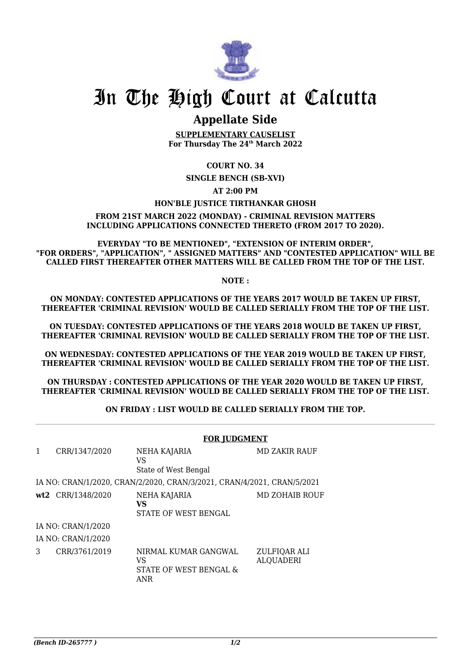

## In The High Court at Calcutta

## **Appellate Side**

**SUPPLEMENTARY CAUSELIST For Thursday The 24th March 2022**

## **COURT NO. 34**

**SINGLE BENCH (SB-XVI)**

**AT 2:00 PM**

## **HON'BLE JUSTICE TIRTHANKAR GHOSH**

**FROM 21ST MARCH 2022 (MONDAY) - CRIMINAL REVISION MATTERS INCLUDING APPLICATIONS CONNECTED THERETO (FROM 2017 TO 2020).**

**EVERYDAY "TO BE MENTIONED", "EXTENSION OF INTERIM ORDER", "FOR ORDERS", "APPLICATION", " ASSIGNED MATTERS" AND "CONTESTED APPLICATION" WILL BE CALLED FIRST THEREAFTER OTHER MATTERS WILL BE CALLED FROM THE TOP OF THE LIST.**

**NOTE :**

**ON MONDAY: CONTESTED APPLICATIONS OF THE YEARS 2017 WOULD BE TAKEN UP FIRST, THEREAFTER 'CRIMINAL REVISION' WOULD BE CALLED SERIALLY FROM THE TOP OF THE LIST.**

**ON TUESDAY: CONTESTED APPLICATIONS OF THE YEARS 2018 WOULD BE TAKEN UP FIRST, THEREAFTER 'CRIMINAL REVISION' WOULD BE CALLED SERIALLY FROM THE TOP OF THE LIST.**

**ON WEDNESDAY: CONTESTED APPLICATIONS OF THE YEAR 2019 WOULD BE TAKEN UP FIRST, THEREAFTER 'CRIMINAL REVISION' WOULD BE CALLED SERIALLY FROM THE TOP OF THE LIST.**

**ON THURSDAY : CONTESTED APPLICATIONS OF THE YEAR 2020 WOULD BE TAKEN UP FIRST, THEREAFTER 'CRIMINAL REVISION' WOULD BE CALLED SERIALLY FROM THE TOP OF THE LIST.**

**ON FRIDAY : LIST WOULD BE CALLED SERIALLY FROM THE TOP.**

|                                                                        |                   | <b>FOR JUDGMENT</b>                                         |                                  |  |  |
|------------------------------------------------------------------------|-------------------|-------------------------------------------------------------|----------------------------------|--|--|
| 1                                                                      | CRR/1347/2020     | NEHA KAJARIA<br>VS<br>State of West Bengal                  | MD ZAKIR RAUF                    |  |  |
| IA NO: CRAN/1/2020, CRAN/2/2020, CRAN/3/2021, CRAN/4/2021, CRAN/5/2021 |                   |                                                             |                                  |  |  |
|                                                                        | wt2 CRR/1348/2020 | NEHA KAJARIA<br><b>VS</b><br>STATE OF WEST BENGAL           | MD ZOHAIB ROUF                   |  |  |
| IA NO: CRAN/1/2020                                                     |                   |                                                             |                                  |  |  |
| IA NO: CRAN/1/2020                                                     |                   |                                                             |                                  |  |  |
| 3                                                                      | CRR/3761/2019     | NIRMAL KUMAR GANGWAL<br>VS<br>STATE OF WEST BENGAL &<br>ANR | ZULFIQAR ALI<br><b>ALQUADERI</b> |  |  |